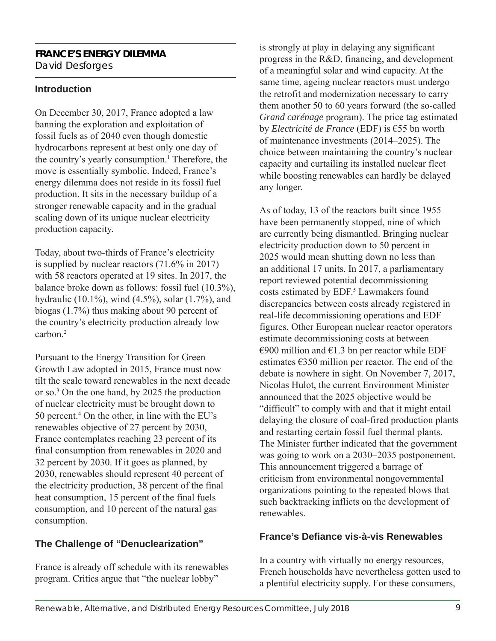#### **FRANCE'S ENERGY DILEMMA** David Desforges

### **Introduction**

On December 30, 2017, France adopted a law banning the exploration and exploitation of fossil fuels as of 2040 even though domestic hydrocarbons represent at best only one day of the country's yearly consumption.<sup>1</sup> Therefore, the move is essentially symbolic. Indeed, France's energy dilemma does not reside in its fossil fuel production. It sits in the necessary buildup of a stronger renewable capacity and in the gradual scaling down of its unique nuclear electricity production capacity.

Today, about two-thirds of France's electricity is supplied by nuclear reactors (71.6% in 2017) with 58 reactors operated at 19 sites. In 2017, the balance broke down as follows: fossil fuel (10.3%), hydraulic (10.1%), wind (4.5%), solar (1.7%), and biogas (1.7%) thus making about 90 percent of the country's electricity production already low carbon.2

Pursuant to the Energy Transition for Green Growth Law adopted in 2015, France must now tilt the scale toward renewables in the next decade or so.3 On the one hand, by 2025 the production of nuclear electricity must be brought down to 50 percent.<sup>4</sup> On the other, in line with the EU's renewables objective of 27 percent by 2030, France contemplates reaching 23 percent of its final consumption from renewables in 2020 and 32 percent by 2030. If it goes as planned, by 2030, renewables should represent 40 percent of the electricity production, 38 percent of the final heat consumption, 15 percent of the final fuels consumption, and 10 percent of the natural gas consumption.

# **The Challenge of "Denuclearization"**

France is already off schedule with its renewables program. Critics argue that "the nuclear lobby"

is strongly at play in delaying any significant progress in the R&D, financing, and development of a meaningful solar and wind capacity. At the same time, ageing nuclear reactors must undergo the retrofit and modernization necessary to carry them another 50 to 60 years forward (the so-called *Grand carénage* program). The price tag estimated by *Electricité de France* (EDF) is €55 bn worth of maintenance investments (2014–2025). The choice between maintaining the country's nuclear capacity and curtailing its installed nuclear fleet while boosting renewables can hardly be delayed any longer.

As of today, 13 of the reactors built since 1955 have been permanently stopped, nine of which are currently being dismantled. Bringing nuclear electricity production down to 50 percent in 2025 would mean shutting down no less than an additional 17 units. In 2017, a parliamentary report reviewed potential decommissioning costs estimated by EDF.<sup>5</sup> Lawmakers found discrepancies between costs already registered in real-life decommissioning operations and EDF figures. Other European nuclear reactor operators estimate decommissioning costs at between €900 million and  $€1.3$  bn per reactor while EDF estimates €350 million per reactor. The end of the debate is nowhere in sight. On November 7, 2017, Nicolas Hulot, the current Environment Minister announced that the 2025 objective would be "difficult" to comply with and that it might entail delaying the closure of coal-fired production plants and restarting certain fossil fuel thermal plants. The Minister further indicated that the government was going to work on a 2030–2035 postponement. This announcement triggered a barrage of criticism from environmental nongovernmental organizations pointing to the repeated blows that such backtracking inflicts on the development of renewables.

# **France's Defiance vis-à-vis Renewables**

In a country with virtually no energy resources, French households have nevertheless gotten used to a plentiful electricity supply. For these consumers,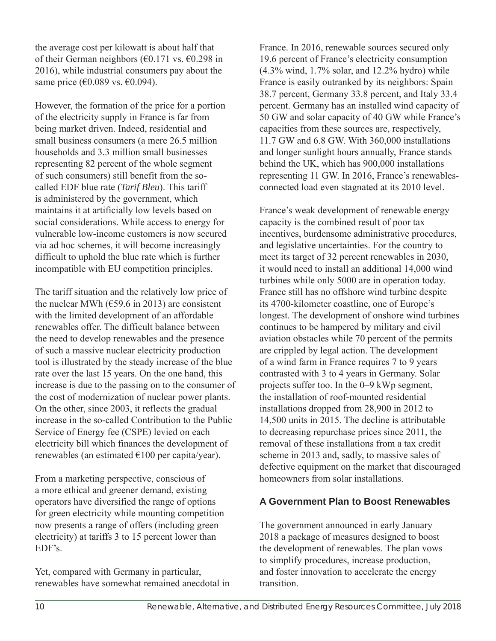the average cost per kilowatt is about half that of their German neighbors ( $\epsilon$ 0.171 vs.  $\epsilon$ 0.298 in 2016), while industrial consumers pay about the same price (€0.089 vs. €0.094).

However, the formation of the price for a portion of the electricity supply in France is far from being market driven. Indeed, residential and small business consumers (a mere 26.5 million households and 3.3 million small businesses representing 82 percent of the whole segment of such consumers) still benefit from the socalled EDF blue rate (*Tarif Bleu*). This tariff is administered by the government, which maintains it at artificially low levels based on social considerations. While access to energy for vulnerable low-income customers is now secured via ad hoc schemes, it will become increasingly difficult to uphold the blue rate which is further incompatible with EU competition principles.

The tariff situation and the relatively low price of the nuclear MWh ( $\epsilon$ 59.6 in 2013) are consistent with the limited development of an affordable renewables offer. The difficult balance between the need to develop renewables and the presence of such a massive nuclear electricity production tool is illustrated by the steady increase of the blue rate over the last 15 years. On the one hand, this increase is due to the passing on to the consumer of the cost of modernization of nuclear power plants. On the other, since 2003, it reflects the gradual increase in the so-called Contribution to the Public Service of Energy fee (CSPE) levied on each electricity bill which finances the development of renewables (an estimated  $\epsilon$ 100 per capita/year).

From a marketing perspective, conscious of a more ethical and greener demand, existing operators have diversified the range of options for green electricity while mounting competition now presents a range of offers (including green electricity) at tariffs 3 to 15 percent lower than EDF's.

Yet, compared with Germany in particular, renewables have somewhat remained anecdotal in France. In 2016, renewable sources secured only 19.6 percent of France's electricity consumption (4.3% wind, 1.7% solar, and 12.2% hydro) while France is easily outranked by its neighbors: Spain 38.7 percent, Germany 33.8 percent, and Italy 33.4 percent. Germany has an installed wind capacity of 50 GW and solar capacity of 40 GW while France's capacities from these sources are, respectively, 11.7 GW and 6.8 GW. With 360,000 installations and longer sunlight hours annually, France stands behind the UK, which has 900,000 installations representing 11 GW. In 2016, France's renewablesconnected load even stagnated at its 2010 level.

France's weak development of renewable energy capacity is the combined result of poor tax incentives, burdensome administrative procedures, and legislative uncertainties. For the country to meet its target of 32 percent renewables in 2030, it would need to install an additional 14,000 wind turbines while only 5000 are in operation today. France still has no offshore wind turbine despite its 4700-kilometer coastline, one of Europe's longest. The development of onshore wind turbines continues to be hampered by military and civil aviation obstacles while 70 percent of the permits are crippled by legal action. The development of a wind farm in France requires 7 to 9 years contrasted with 3 to 4 years in Germany. Solar projects suffer too. In the 0–9 kWp segment, the installation of roof-mounted residential installations dropped from 28,900 in 2012 to 14,500 units in 2015. The decline is attributable to decreasing repurchase prices since 2011, the removal of these installations from a tax credit scheme in 2013 and, sadly, to massive sales of defective equipment on the market that discouraged homeowners from solar installations.

#### **A Government Plan to Boost Renewables**

The government announced in early January 2018 a package of measures designed to boost the development of renewables. The plan vows to simplify procedures, increase production, and foster innovation to accelerate the energy transition.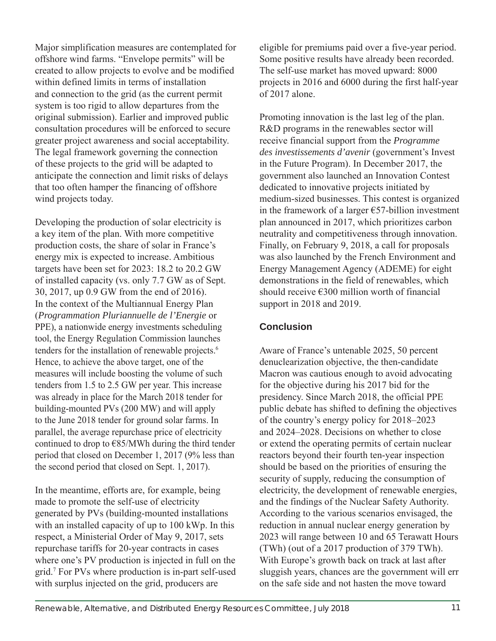Major simplification measures are contemplated for offshore wind farms. "Envelope permits" will be created to allow projects to evolve and be modified within defined limits in terms of installation and connection to the grid (as the current permit system is too rigid to allow departures from the original submission). Earlier and improved public consultation procedures will be enforced to secure greater project awareness and social acceptability. The legal framework governing the connection of these projects to the grid will be adapted to anticipate the connection and limit risks of delays that too often hamper the financing of offshore wind projects today.

Developing the production of solar electricity is a key item of the plan. With more competitive production costs, the share of solar in France's energy mix is expected to increase. Ambitious targets have been set for 2023: 18.2 to 20.2 GW of installed capacity (vs. only 7.7 GW as of Sept. 30, 2017, up 0.9 GW from the end of 2016). In the context of the Multiannual Energy Plan (*Programmation Pluriannuelle de l'Energie* or PPE), a nationwide energy investments scheduling tool, the Energy Regulation Commission launches tenders for the installation of renewable projects.<sup>6</sup> Hence, to achieve the above target, one of the measures will include boosting the volume of such tenders from 1.5 to 2.5 GW per year. This increase was already in place for the March 2018 tender for building-mounted PVs (200 MW) and will apply to the June 2018 tender for ground solar farms. In parallel, the average repurchase price of electricity continued to drop to  $E85/MWh$  during the third tender period that closed on December 1, 2017 (9% less than the second period that closed on Sept. 1, 2017).

In the meantime, efforts are, for example, being made to promote the self-use of electricity generated by PVs (building-mounted installations with an installed capacity of up to 100 kWp. In this respect, a Ministerial Order of May 9, 2017, sets repurchase tariffs for 20-year contracts in cases where one's PV production is injected in full on the grid.7 For PVs where production is in-part self-used with surplus injected on the grid, producers are

eligible for premiums paid over a five-year period. Some positive results have already been recorded. The self-use market has moved upward: 8000 projects in 2016 and 6000 during the first half-year of 2017 alone.

Promoting innovation is the last leg of the plan. R&D programs in the renewables sector will receive financial support from the *Programme des investissements d'avenir* (government's Invest in the Future Program). In December 2017, the government also launched an Innovation Contest dedicated to innovative projects initiated by medium-sized businesses. This contest is organized in the framework of a larger  $E$ 57-billion investment plan announced in 2017, which prioritizes carbon neutrality and competitiveness through innovation. Finally, on February 9, 2018, a call for proposals was also launched by the French Environment and Energy Management Agency (ADEME) for eight demonstrations in the field of renewables, which should receive €300 million worth of financial support in 2018 and 2019.

# **Conclusion**

Aware of France's untenable 2025, 50 percent denuclearization objective, the then-candidate Macron was cautious enough to avoid advocating for the objective during his 2017 bid for the presidency. Since March 2018, the official PPE public debate has shifted to defining the objectives of the country's energy policy for 2018–2023 and 2024–2028. Decisions on whether to close or extend the operating permits of certain nuclear reactors beyond their fourth ten-year inspection should be based on the priorities of ensuring the security of supply, reducing the consumption of electricity, the development of renewable energies, and the findings of the Nuclear Safety Authority. According to the various scenarios envisaged, the reduction in annual nuclear energy generation by 2023 will range between 10 and 65 Terawatt Hours (TWh) (out of a 2017 production of 379 TWh). With Europe's growth back on track at last after sluggish years, chances are the government will err on the safe side and not hasten the move toward